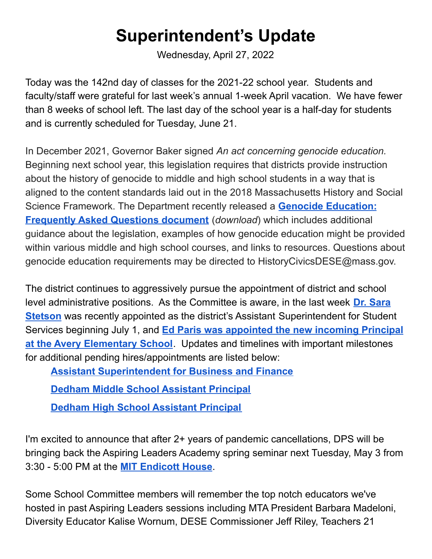## **Superintendent's Update**

Wednesday, April 27, 2022

Today was the 142nd day of classes for the 2021-22 school year. Students and faculty/staff were grateful for last week's annual 1-week April vacation. We have fewer than 8 weeks of school left. The last day of the school year is a half-day for students and is currently scheduled for Tuesday, June 21.

In December 2021, Governor Baker signed *An act concerning genocide education.* Beginning next school year, this legislation requires that districts provide instruction about the history of genocide to middle and high school students in a way that is aligned to the content standards laid out in the 2018 Massachusetts History and Social Science Framework. The Department recently released a **Genocide [Education:](https://mass.us14.list-manage.com/track/click?u=d8f37d1a90dacd97f207f0b4a&id=9ac93e7411&e=eabcb692e9) [Frequently](https://mass.us14.list-manage.com/track/click?u=d8f37d1a90dacd97f207f0b4a&id=9ac93e7411&e=eabcb692e9) Asked Questions document** (*download*) which includes additional guidance about the legislation, examples of how genocide education might be provided within various middle and high school courses, and links to resources. Questions about genocide education requirements may be directed to HistoryCivicsDESE@mass.gov.

The district continues to aggressively pursue the appointment of district and school level administrative positions. As the Committee is aware, in the last week **Dr. [Sara](https://drive.google.com/file/d/1kv1XMP12M0JbDiblvnlOuWWRTaGED3S-/view?usp=sharing) [Stetson](https://drive.google.com/file/d/1kv1XMP12M0JbDiblvnlOuWWRTaGED3S-/view?usp=sharing)** was recently appointed as the district's Assistant Superintendent for Student Services beginning July 1, and **Ed Paris was [appointed](https://docs.google.com/document/d/19o8fytLNin4zS2e6_EJn-W1Z5Yn4yIog7SDByFDI6MM/edit?usp=sharing) the new incoming Principal at the Avery [Elementary](https://docs.google.com/document/d/19o8fytLNin4zS2e6_EJn-W1Z5Yn4yIog7SDByFDI6MM/edit?usp=sharing) School**. Updates and timelines with important milestones for additional pending hires/appointments are listed below:

**Assistant [Superintendent](https://docs.google.com/spreadsheets/d/1qru7r6yyxZFpHCFDLBdziw2QtwpitaqmMUA6WEhHoK0/edit?usp=sharing) for Business and Finance**

**Dedham Middle School [Assistant](https://docs.google.com/spreadsheets/d/1B3eI-VB4CVyeh-aWDlb4P5OoMiO7D8Ej4vWa8Am828k/edit#gid=0) Principal**

**Dedham High School [Assistant](https://docs.google.com/document/d/1MbQWoSrvYICNcvImTboKo74C8L2elOkKJegrDRiVu1E/edit) Principal**

I'm excited to announce that after 2+ years of pandemic cancellations, DPS will be bringing back the Aspiring Leaders Academy spring seminar next Tuesday, May 3 from 3:30 - 5:00 PM at the **MIT [Endicott](https://mitendicotthouse.org/) House**.

Some School Committee members will remember the top notch educators we've hosted in past Aspiring Leaders sessions including MTA President Barbara Madeloni, Diversity Educator Kalise Wornum, DESE Commissioner Jeff Riley, Teachers 21